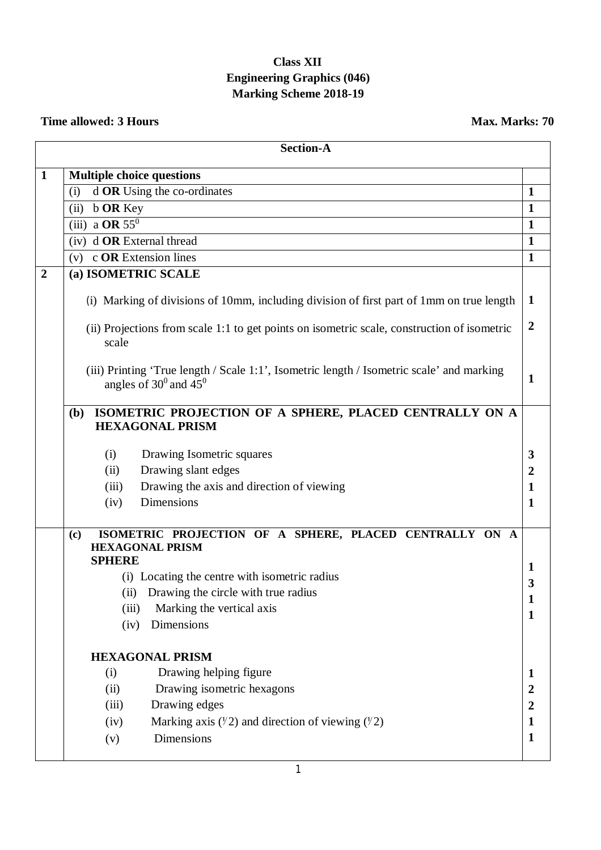## **Class XII Engineering Graphics (046) Marking Scheme 2018-19**

## **Time allowed: 3 Hours** Max. Marks: 70

|                | <b>Section-A</b>                                                                                                         |                |
|----------------|--------------------------------------------------------------------------------------------------------------------------|----------------|
| $\mathbf{1}$   | <b>Multiple choice questions</b>                                                                                         |                |
|                | d OR Using the co-ordinates<br>(i)                                                                                       | $\mathbf{1}$   |
|                | <b>b OR Key</b><br>(ii)                                                                                                  | $\mathbf{1}$   |
|                | $(iii)$ a OR $55^\circ$                                                                                                  | $\mathbf{1}$   |
|                | (iv) d OR External thread                                                                                                | $\mathbf{1}$   |
|                | $(v)$ c <b>OR</b> Extension lines                                                                                        | $\mathbf{1}$   |
| $\overline{2}$ | (a) ISOMETRIC SCALE                                                                                                      |                |
|                | (i) Marking of divisions of 10mm, including division of first part of 1mm on true length                                 | 1              |
|                | (ii) Projections from scale 1:1 to get points on isometric scale, construction of isometric<br>scale                     | $\overline{2}$ |
|                | (iii) Printing 'True length / Scale 1:1', Isometric length / Isometric scale' and marking<br>angles of $30^0$ and $45^0$ | $\mathbf 1$    |
|                | ISOMETRIC PROJECTION OF A SPHERE, PLACED CENTRALLY ON A<br>(b)<br><b>HEXAGONAL PRISM</b>                                 |                |
|                | Drawing Isometric squares<br>(i)                                                                                         | 3              |
|                | Drawing slant edges<br>(ii)                                                                                              | $\overline{2}$ |
|                | Drawing the axis and direction of viewing<br>(iii)                                                                       | 1              |
|                | Dimensions<br>(iv)                                                                                                       | $\mathbf{1}$   |
|                | ISOMETRIC PROJECTION OF A SPHERE, PLACED CENTRALLY ON A<br>(c)<br><b>HEXAGONAL PRISM</b><br><b>SPHERE</b>                |                |
|                | (i) Locating the centre with isometric radius                                                                            | 1              |
|                | (ii) Drawing the circle with true radius                                                                                 | 3              |
|                | (iii)<br>Marking the vertical axis                                                                                       | 1              |
|                | Dimensions<br>(iv)                                                                                                       | 1              |
|                | <b>HEXAGONAL PRISM</b>                                                                                                   |                |
|                | Drawing helping figure<br>(i)                                                                                            | 1              |
|                | Drawing isometric hexagons<br>(ii)                                                                                       | $\overline{2}$ |
|                | Drawing edges<br>(iii)                                                                                                   | $\overline{2}$ |
|                | Marking axis $(\frac{1}{2})$ and direction of viewing $(\frac{1}{2})$<br>(iv)                                            | $\mathbf{1}$   |
|                | Dimensions<br>(v)                                                                                                        | $\mathbf{1}$   |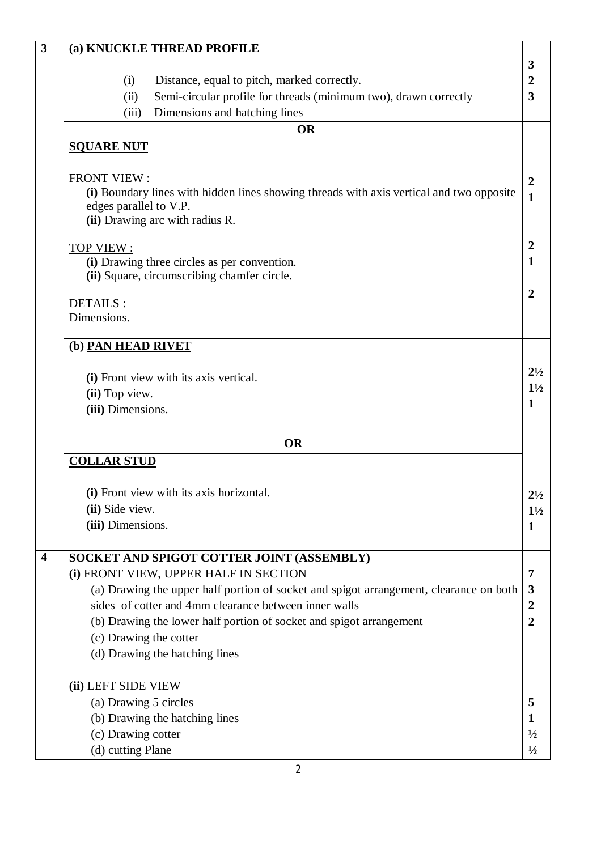| $\overline{\mathbf{3}}$ | (a) KNUCKLE THREAD PROFILE                                                               |                                             |
|-------------------------|------------------------------------------------------------------------------------------|---------------------------------------------|
|                         |                                                                                          | 3                                           |
|                         | Distance, equal to pitch, marked correctly.<br>(i)                                       | $\boldsymbol{2}$<br>$\overline{\mathbf{3}}$ |
|                         | Semi-circular profile for threads (minimum two), drawn correctly<br>(ii)                 |                                             |
|                         | Dimensions and hatching lines<br>(iii)<br><b>OR</b>                                      |                                             |
|                         |                                                                                          |                                             |
|                         | <b>SQUARE NUT</b>                                                                        |                                             |
|                         | <b>FRONT VIEW:</b>                                                                       | $\overline{2}$                              |
|                         | (i) Boundary lines with hidden lines showing threads with axis vertical and two opposite | $\mathbf{1}$                                |
|                         | edges parallel to V.P.                                                                   |                                             |
|                         | (ii) Drawing arc with radius R.                                                          |                                             |
|                         | TOP VIEW:                                                                                | $\overline{2}$                              |
|                         | (i) Drawing three circles as per convention.                                             | $\mathbf{1}$                                |
|                         | (ii) Square, circumscribing chamfer circle.                                              |                                             |
|                         |                                                                                          | $\overline{2}$                              |
|                         | DETAILS:                                                                                 |                                             |
|                         | Dimensions.                                                                              |                                             |
|                         | (b) PAN HEAD RIVET                                                                       |                                             |
|                         |                                                                                          |                                             |
|                         | (i) Front view with its axis vertical.                                                   | $2\frac{1}{2}$                              |
|                         | (ii) Top view.                                                                           | $1\frac{1}{2}$                              |
|                         | (iii) Dimensions.                                                                        | $\mathbf{1}$                                |
|                         | <b>OR</b>                                                                                |                                             |
|                         | <b>COLLAR STUD</b>                                                                       |                                             |
|                         |                                                                                          |                                             |
|                         | (i) Front view with its axis horizontal.                                                 | $2^{1/2}$                                   |
|                         | (ii) Side view.                                                                          | $1\frac{1}{2}$                              |
|                         | (iii) Dimensions.                                                                        | $\mathbf{1}$                                |
|                         |                                                                                          |                                             |
| $\overline{\mathbf{4}}$ | SOCKET AND SPIGOT COTTER JOINT (ASSEMBLY)                                                |                                             |
|                         | (i) FRONT VIEW, UPPER HALF IN SECTION                                                    | 7                                           |
|                         | (a) Drawing the upper half portion of socket and spigot arrangement, clearance on both   | 3                                           |
|                         | sides of cotter and 4mm clearance between inner walls                                    | $\overline{2}$                              |
|                         | (b) Drawing the lower half portion of socket and spigot arrangement                      | $\overline{2}$                              |
|                         | (c) Drawing the cotter                                                                   |                                             |
|                         | (d) Drawing the hatching lines                                                           |                                             |
|                         |                                                                                          |                                             |
|                         | (ii) LEFT SIDE VIEW                                                                      |                                             |
|                         | (a) Drawing 5 circles                                                                    | 5                                           |
|                         | (b) Drawing the hatching lines                                                           | 1                                           |
|                         | (c) Drawing cotter                                                                       | $\frac{1}{2}$                               |
|                         | (d) cutting Plane                                                                        | $\frac{1}{2}$                               |